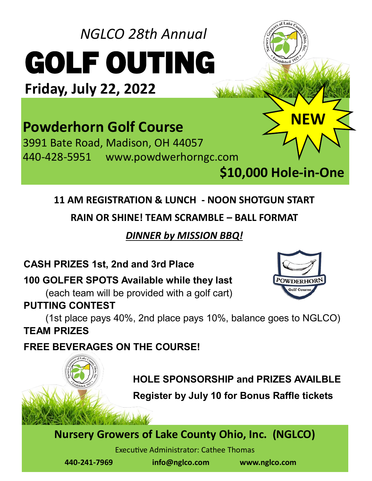# *NGLCO 28th Annual*  GOLF OUTING

**Friday, July 22, 2022**

# **Powderhorn Golf Course**

3991 Bate Road, Madison, OH 44057 440-428-5951 www.powdwerhorngc.com

**\$10,000 Hole-in-One** 

**POWDERHO** 

<sup>ta</sup>blished<sup>N</sup>

**NEW**

## **11 AM REGISTRATION & LUNCH - NOON SHOTGUN START**

**RAIN OR SHINE! TEAM SCRAMBLE – BALL FORMAT**

*DINNER by MISSION BBQ!*

#### **CASH PRIZES 1st, 2nd and 3rd Place**

**100 GOLFER SPOTS Available while they last**

(each team will be provided with a golf cart)

#### **PUTTING CONTEST**

(1st place pays 40%, 2nd place pays 10%, balance goes to NGLCO) **TEAM PRIZES**

**FREE BEVERAGES ON THE COURSE!**



**Register by July 10 for Bonus Raffle tickets**

### **Nursery Growers of Lake County Ohio, Inc. (NGLCO)**

Executive Administrator: Cathee Thomas